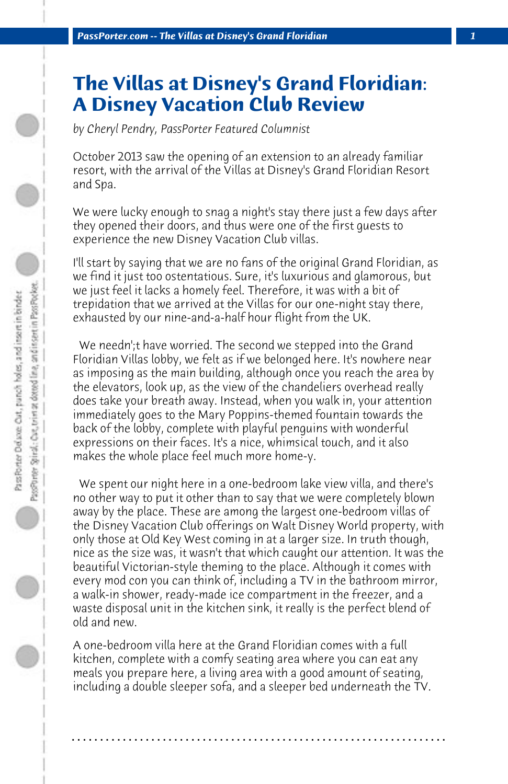## **The Villas at Disney's Grand Floridian: A Disney Vacation Club Review**

*by Cheryl Pendry, PassPorter Featured Columnist*

October 2013 saw the opening of an extension to an already familiar resort, with the arrival of the Villas at Disney's Grand Floridian Resort and Spa.

We were lucky enough to snag a night's stay there just a few days after they opened their doors, and thus were one of the first guests to experience the new Disney Vacation Club villas.

I'll start by saying that we are no fans of the original Grand Floridian, as we find it just too ostentatious. Sure, it's luxurious and glamorous, but we just feel it lacks a homely feel. Therefore, it was with a bit of trepidation that we arrived at the Villas for our one-night stay there, exhausted by our nine-and-a-half hour flight from the UK.

 We needn';t have worried. The second we stepped into the Grand Floridian Villas lobby, we felt as if we belonged here. It's nowhere near as imposing as the main building, although once you reach the area by the elevators, look up, as the view of the chandeliers overhead really does take your breath away. Instead, when you walk in, your attention immediately goes to the Mary Poppins-themed fountain towards the back of the lobby, complete with playful penguins with wonderful expressions on their faces. It's a nice, whimsical touch, and it also makes the whole place feel much more home-y.

 We spent our night here in a one-bedroom lake view villa, and there's no other way to put it other than to say that we were completely blown away by the place. These are among the largest one-bedroom villas of the Disney Vacation Club offerings on Walt Disney World property, with only those at Old Key West coming in at a larger size. In truth though, nice as the size was, it wasn't that which caught our attention. It was the beautiful Victorian-style theming to the place. Although it comes with every mod con you can think of, including a TV in the bathroom mirror, a walk-in shower, ready-made ice compartment in the freezer, and a waste disposal unit in the kitchen sink, it really is the perfect blend of old and new.

A one-bedroom villa here at the Grand Floridian comes with a full kitchen, complete with a comfy seating area where you can eat any meals you prepare here, a living area with a good amount of seating, including a double sleeper sofa, and a sleeper bed underneath the TV.

**. . . . . . . . . . . . . . . . . . . . . . . . . . . . . . . . . . . . . . . . . . . . . . . . . . . . . . . . . . . . . . . . . .**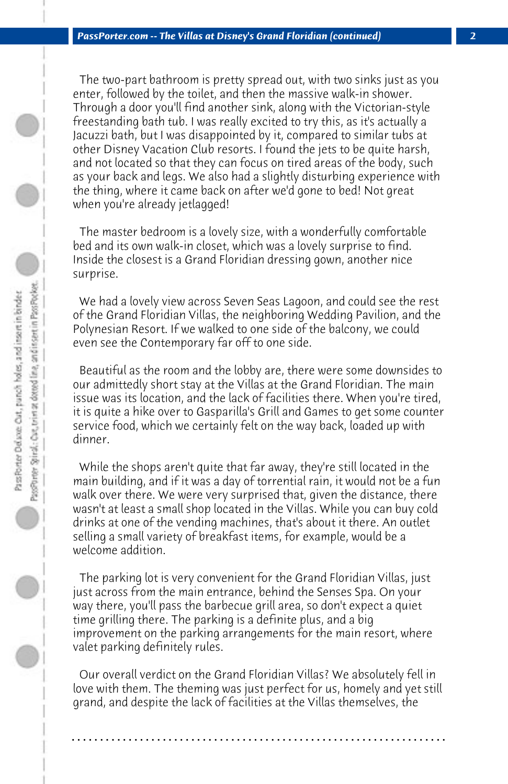The two-part bathroom is pretty spread out, with two sinks just as you enter, followed by the toilet, and then the massive walk-in shower. Through a door you'll find another sink, along with the Victorian-style freestanding bath tub. I was really excited to try this, as it's actually a Jacuzzi bath, but I was disappointed by it, compared to similar tubs at other Disney Vacation Club resorts. I found the jets to be quite harsh, and not located so that they can focus on tired areas of the body, such as your back and legs. We also had a slightly disturbing experience with the thing, where it came back on after we'd gone to bed! Not great when you're already jetlagged!

 The master bedroom is a lovely size, with a wonderfully comfortable bed and its own walk-in closet, which was a lovely surprise to find. Inside the closest is a Grand Floridian dressing gown, another nice surprise.

 We had a lovely view across Seven Seas Lagoon, and could see the rest of the Grand Floridian Villas, the neighboring Wedding Pavilion, and the Polynesian Resort. If we walked to one side of the balcony, we could even see the Contemporary far off to one side.

 Beautiful as the room and the lobby are, there were some downsides to our admittedly short stay at the Villas at the Grand Floridian. The main issue was its location, and the lack of facilities there. When you're tired, it is quite a hike over to Gasparilla's Grill and Games to get some counter service food, which we certainly felt on the way back, loaded up with dinner.

 While the shops aren't quite that far away, they're still located in the main building, and if it was a day of torrential rain, it would not be a fun walk over there. We were very surprised that, given the distance, there wasn't at least a small shop located in the Villas. While you can buy cold drinks at one of the vending machines, that's about it there. An outlet selling a small variety of breakfast items, for example, would be a welcome addition.

 The parking lot is very convenient for the Grand Floridian Villas, just just across from the main entrance, behind the Senses Spa. On your way there, you'll pass the barbecue grill area, so don't expect a quiet time grilling there. The parking is a definite plus, and a big improvement on the parking arrangements for the main resort, where valet parking definitely rules.

 Our overall verdict on the Grand Floridian Villas? We absolutely fell in love with them. The theming was just perfect for us, homely and yet still grand, and despite the lack of facilities at the Villas themselves, the

**. . . . . . . . . . . . . . . . . . . . . . . . . . . . . . . . . . . . . . . . . . . . . . . . . . . . . . . . . . . . . . . . . .**